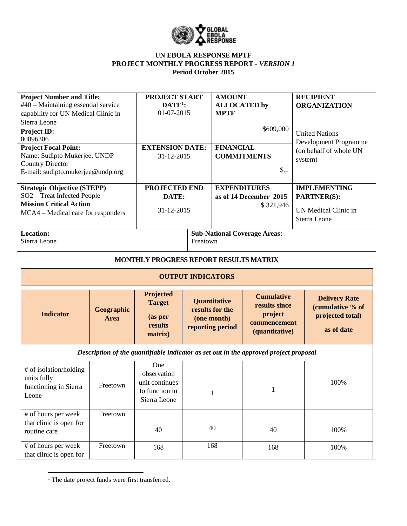

## **UN EBOLA RESPONSE MPTF PROJECT MONTHLY PROGRESS REPORT** *- VERSION 1* **Period October 2015**

| <b>Project Number and Title:</b><br>#40 – Maintaining essential service<br>capability for UN Medical Clinic in<br>Sierra Leone<br><b>Project ID:</b><br>00096306<br><b>Project Focal Point:</b><br>Name: Sudipto Mukerjee, UNDP<br><b>Country Director</b><br>E-mail: sudipto.mukerjee@undp.org |                                  | <b>PROJECT START</b><br>$DATE1$ :<br>01-07-2015<br><b>EXTENSION DATE:</b><br>31-12-2015 |                                                 | <b>AMOUNT</b><br><b>ALLOCATED</b> by<br><b>MPTF</b><br>\$609,000<br><b>FINANCIAL</b><br><b>COMMITMENTS</b><br>$\mathsf{S}$ |                                                                                       | <b>RECIPIENT</b><br><b>ORGANIZATION</b><br><b>United Nations</b><br>Development Programme<br>(on behalf of whole UN<br>system) |  |
|-------------------------------------------------------------------------------------------------------------------------------------------------------------------------------------------------------------------------------------------------------------------------------------------------|----------------------------------|-----------------------------------------------------------------------------------------|-------------------------------------------------|----------------------------------------------------------------------------------------------------------------------------|---------------------------------------------------------------------------------------|--------------------------------------------------------------------------------------------------------------------------------|--|
| <b>Strategic Objective (STEPP)</b><br>SO2 - Treat Infected People<br><b>Mission Critical Action</b><br>MCA4 – Medical care for responders                                                                                                                                                       |                                  | <b>PROJECTED END</b><br>DATE:<br>31-12-2015                                             |                                                 | <b>EXPENDITURES</b><br>as of 14 December 2015<br>\$321,946                                                                 |                                                                                       | <b>IMPLEMENTING</b><br><b>PARTNER(S):</b><br>UN Medical Clinic in<br>Sierra Leone                                              |  |
| Location:<br>Sierra Leone                                                                                                                                                                                                                                                                       |                                  |                                                                                         | <b>Sub-National Coverage Areas:</b><br>Freetown |                                                                                                                            |                                                                                       |                                                                                                                                |  |
|                                                                                                                                                                                                                                                                                                 |                                  | MONTHLY PROGRESS REPORT RESULTS MATRIX                                                  |                                                 |                                                                                                                            |                                                                                       |                                                                                                                                |  |
|                                                                                                                                                                                                                                                                                                 |                                  |                                                                                         | <b>OUTPUT INDICATORS</b>                        |                                                                                                                            |                                                                                       |                                                                                                                                |  |
| <b>Indicator</b>                                                                                                                                                                                                                                                                                | <b>Geographic</b><br><b>Area</b> | Projected<br><b>Target</b><br>(as per<br>results<br>matrix)                             |                                                 | Quantitative<br>results for the<br>(one month)<br>reporting period                                                         | <b>Cumulative</b><br>results since<br>project<br>commencement<br>(quantitative)       | <b>Delivery Rate</b><br>(cumulative % of<br>projected total)<br>as of date                                                     |  |
|                                                                                                                                                                                                                                                                                                 |                                  |                                                                                         |                                                 |                                                                                                                            | Description of the quantifiable indicator as set out in the approved project proposal |                                                                                                                                |  |
| # of isolation/holding<br>units fully<br>functioning in Sierra<br>Leone                                                                                                                                                                                                                         | Freetown                         | One<br>observation<br>unit continues<br>to function in<br>Sierra Leone                  |                                                 | $\mathbf{1}$                                                                                                               | $\mathbf{1}$                                                                          | 100%                                                                                                                           |  |
| # of hours per week<br>that clinic is open for<br>routine care                                                                                                                                                                                                                                  | Freetown                         | 40                                                                                      |                                                 | 40                                                                                                                         | 40                                                                                    | 100%                                                                                                                           |  |
| # of hours per week<br>that clinic is open for                                                                                                                                                                                                                                                  | Freetown                         | 168                                                                                     |                                                 | 168                                                                                                                        | 168                                                                                   | 100%                                                                                                                           |  |

 $\overline{a}$ <sup>1</sup> The date project funds were first transferred.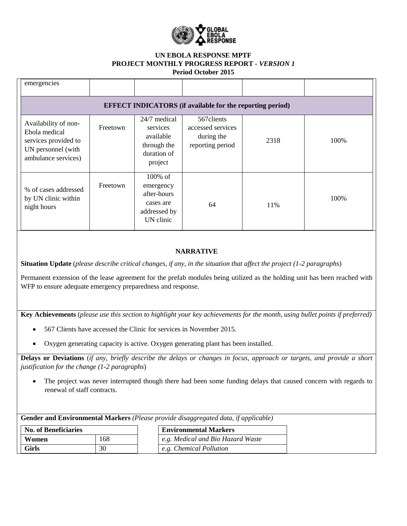

## **UN EBOLA RESPONSE MPTF PROJECT MONTHLY PROGRESS REPORT** *- VERSION 1* **Period October 2015**

| emergencies                                                                                                |          |                                                                                  |                                                                    |      |      |
|------------------------------------------------------------------------------------------------------------|----------|----------------------------------------------------------------------------------|--------------------------------------------------------------------|------|------|
|                                                                                                            |          |                                                                                  | <b>EFFECT INDICATORS</b> (if available for the reporting period)   |      |      |
| Availability of non-<br>Ebola medical<br>services provided to<br>UN personnel (with<br>ambulance services) | Freetown | 24/7 medical<br>services<br>available<br>through the<br>duration of<br>project   | 567 clients<br>accessed services<br>during the<br>reporting period | 2318 | 100% |
| % of cases addressed<br>by UN clinic within<br>night hours                                                 | Freetown | $100\%$ of<br>emergency<br>after-hours<br>cases are<br>addressed by<br>UN clinic | 64                                                                 | 11%  | 100% |

## **NARRATIVE**

**Situation Update** (*please describe critical changes, if any, in the situation that affect the project (1-2 paragraphs*)

Permanent extension of the lease agreement for the prefab modules being utilized as the holding unit has been reached with WFP to ensure adequate emergency preparedness and response.

**Key Achievements** (*please use this section to highlight your key achievements for the month, using bullet points if preferred)*

- 567 Clients have accessed the Clinic for services in November 2015.
- Oxygen generating capacity is active. Oxygen generating plant has been installed.

**Delays or Deviations** (*if any, briefly describe the delays or changes in focus, approach or targets, and provide a short justification for the change (1-2 paragraphs*)

 The project was never interrupted though there had been some funding delays that caused concern with regards to renewal of staff contracts.

**Gender and Environmental Markers** *(Please provide disaggregated data, if applicable)*

| <b>No. of Beneficiaries</b> |     | <b>Environmental Markers</b>      |
|-----------------------------|-----|-----------------------------------|
| Women                       | 168 | e.g. Medical and Bio Hazard Waste |
| Girls                       | 30  | e.g. Chemical Pollution           |